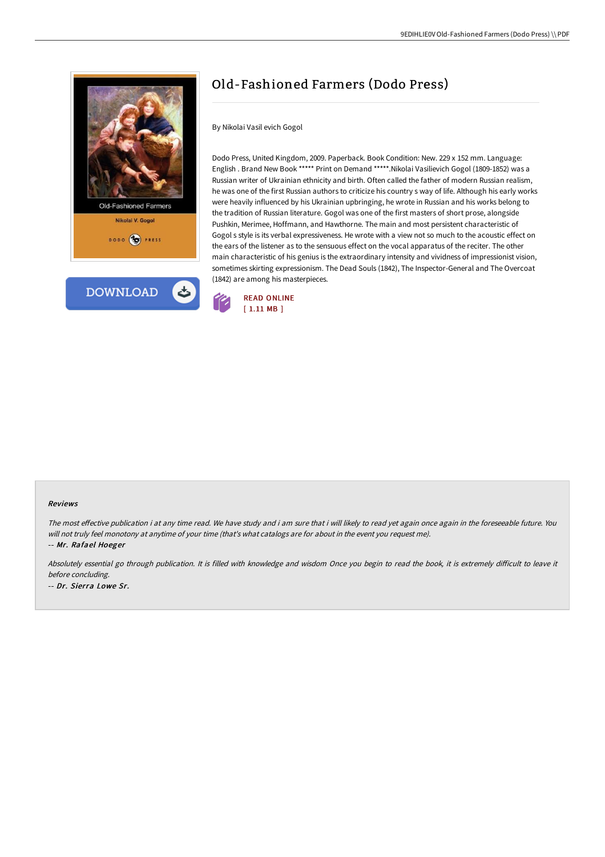



# Old-Fashioned Farmers (Dodo Press)

## By Nikolai Vasil evich Gogol

Dodo Press, United Kingdom, 2009. Paperback. Book Condition: New. 229 x 152 mm. Language: English . Brand New Book \*\*\*\*\* Print on Demand \*\*\*\*\*.Nikolai Vasilievich Gogol (1809-1852) was a Russian writer of Ukrainian ethnicity and birth. Often called the father of modern Russian realism, he was one of the first Russian authors to criticize his country s way of life. Although his early works were heavily influenced by his Ukrainian upbringing, he wrote in Russian and his works belong to the tradition of Russian literature. Gogol was one of the first masters of short prose, alongside Pushkin, Merimee, Hoffmann, and Hawthorne. The main and most persistent characteristic of Gogol s style is its verbal expressiveness. He wrote with a view not so much to the acoustic effect on the ears of the listener as to the sensuous effect on the vocal apparatus of the reciter. The other main characteristic of his genius is the extraordinary intensity and vividness of impressionist vision, sometimes skirting expressionism. The Dead Souls (1842), The Inspector-General and The Overcoat (1842) are among his masterpieces.



#### Reviews

The most effective publication i at any time read. We have study and i am sure that i will likely to read yet again once again in the foreseeable future. You will not truly feel monotony at anytime of your time (that's what catalogs are for about in the event you request me).

-- Mr. Rafael Hoeger

Absolutely essential go through publication. It is filled with knowledge and wisdom Once you begin to read the book, it is extremely difficult to leave it before concluding.

-- Dr. Sierra Lowe Sr.